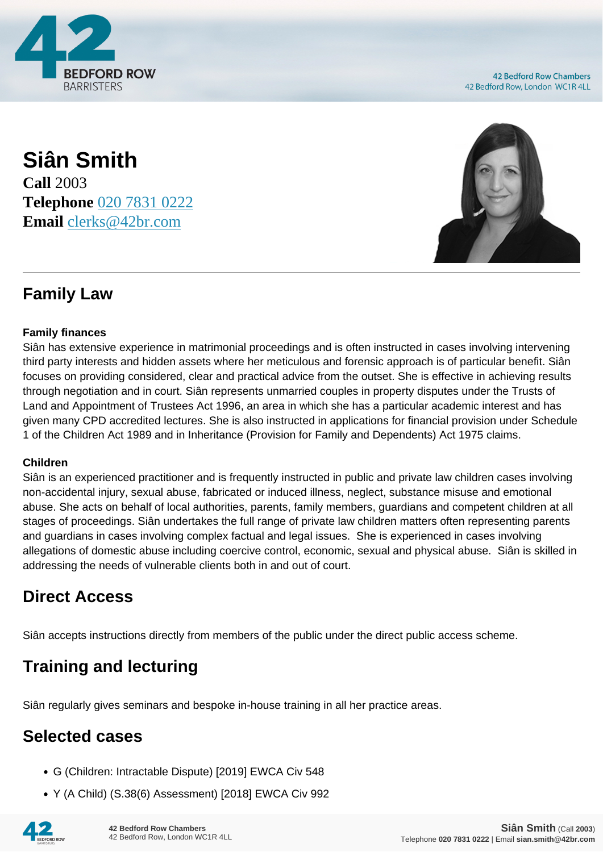

**42 Bedford Row Chambers** 42 Bedford Row, London WC1R 4LL

### **Siân Smith Call** 2003 **Telephone** [020 7831 0222](https://pdf.codeshore.co/_42br/tel:020 7831 0222) **Email** [clerks@42br.com](mailto:clerks@42br.com)



## **Family Law**

#### **Family finances**

Siân has extensive experience in matrimonial proceedings and is often instructed in cases involving intervening third party interests and hidden assets where her meticulous and forensic approach is of particular benefit. Siân focuses on providing considered, clear and practical advice from the outset. She is effective in achieving results through negotiation and in court. Siân represents unmarried couples in property disputes under the Trusts of Land and Appointment of Trustees Act 1996, an area in which she has a particular academic interest and has given many CPD accredited lectures. She is also instructed in applications for financial provision under Schedule 1 of the Children Act 1989 and in Inheritance (Provision for Family and Dependents) Act 1975 claims.

#### **Children**

Siân is an experienced practitioner and is frequently instructed in public and private law children cases involving non-accidental injury, sexual abuse, fabricated or induced illness, neglect, substance misuse and emotional abuse. She acts on behalf of local authorities, parents, family members, guardians and competent children at all stages of proceedings. Siân undertakes the full range of private law children matters often representing parents and guardians in cases involving complex factual and legal issues. She is experienced in cases involving allegations of domestic abuse including coercive control, economic, sexual and physical abuse. Siân is skilled in addressing the needs of vulnerable clients both in and out of court.

### **Direct Access**

Siân accepts instructions directly from members of the public under the direct public access scheme.

# **Training and lecturing**

Siân regularly gives seminars and bespoke in-house training in all her practice areas.

# **Selected cases**

- G (Children: Intractable Dispute) [2019] EWCA Civ 548
- Y (A Child) (S.38(6) Assessment) [2018] EWCA Civ 992